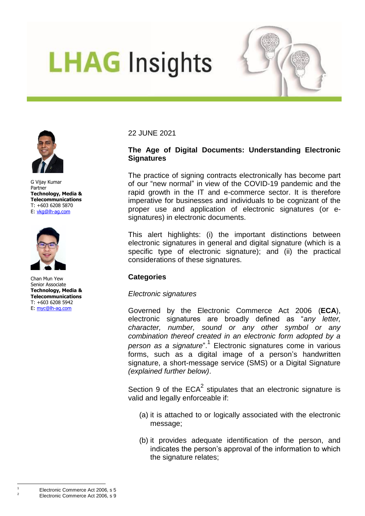# **LHAG Insights**



G Vijay Kumar Partner **Technology, Media & Telecommunications**  T: +603 6208 5870 E: [vkg@lh-ag.com](mailto:vkg@lh-ag.com)



Chan Mun Yew Senior Associate **Technology, Media & Telecommunications** T: +603 6208 5942 E: [myc@lh-ag.com](mailto:myc@lh-ag.com)

## 22 JUNE 2021

## **The Age of Digital Documents: Understanding Electronic Signatures**

The practice of signing contracts electronically has become part of our "new normal" in view of the COVID-19 pandemic and the rapid growth in the IT and e-commerce sector. It is therefore imperative for businesses and individuals to be cognizant of the proper use and application of electronic signatures (or esignatures) in electronic documents.

This alert highlights: (i) the important distinctions between electronic signatures in general and digital signature (which is a specific type of electronic signature); and (ii) the practical considerations of these signatures.

## **Categories**

## *Electronic signatures*

Governed by the Electronic Commerce Act 2006 (**ECA**), electronic signatures are broadly defined as "*any letter, character, number, sound or any other symbol or any combination thereof created in an electronic form adopted by a*  person as a signature".<sup>1</sup> Electronic signatures come in various forms, such as a digital image of a person's handwritten signature, a short-message service (SMS) or a Digital Signature *(explained further below)*.

Section 9 of the  $ECA^2$  stipulates that an electronic signature is valid and legally enforceable if:

- (a) it is attached to or logically associated with the electronic message;
- (b) it provides adequate identification of the person, and indicates the person's approval of the information to which the signature relates;

 $\overline{a}$ 

<sup>2</sup> Electronic Commerce Act 2006, s 9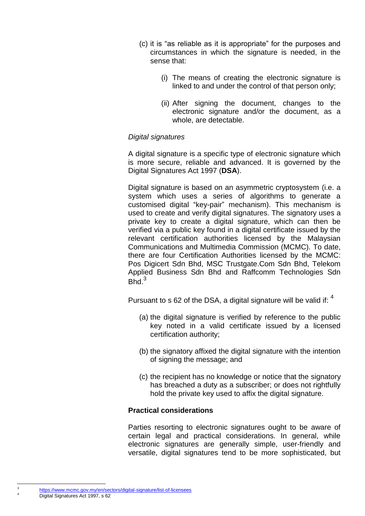- (c) it is "as reliable as it is appropriate" for the purposes and circumstances in which the signature is needed, in the sense that:
	- (i) The means of creating the electronic signature is linked to and under the control of that person only;
	- (ii) After signing the document, changes to the electronic signature and/or the document, as a whole, are detectable.

### *Digital signatures*

A digital signature is a specific type of electronic signature which is more secure, reliable and advanced. It is governed by the Digital Signatures Act 1997 (**DSA**).

Digital signature is based on an asymmetric cryptosystem (i.e. a system which uses a series of algorithms to generate a customised digital "key-pair" mechanism). This mechanism is used to create and verify digital signatures. The signatory uses a private key to create a digital signature, which can then be verified via a public key found in a digital certificate issued by the relevant certification authorities licensed by the Malaysian Communications and Multimedia Commission (MCMC). To date, there are four Certification Authorities licensed by the MCMC: Pos Digicert Sdn Bhd, MSC Trustgate.Com Sdn Bhd, Telekom Applied Business Sdn Bhd and Raffcomm Technologies Sdn  $Bhd.<sup>3</sup>$ 

Pursuant to s 62 of the DSA, a digital signature will be valid if:  $4$ 

- (a) the digital signature is verified by reference to the public key noted in a valid certificate issued by a licensed certification authority;
- (b) the signatory affixed the digital signature with the intention of signing the message; and
- (c) the recipient has no knowledge or notice that the signatory has breached a duty as a subscriber; or does not rightfully hold the private key used to affix the digital signature.

#### **Practical considerations**

Parties resorting to electronic signatures ought to be aware of certain legal and practical considerations. In general, while electronic signatures are generally simple, user-friendly and versatile, digital signatures tend to be more sophisticated, but

 $\frac{1}{3}$ 

<https://www.mcmc.gov.my/en/sectors/digital-signature/list-of-licensees> Digital Signatures Act 1997, s 62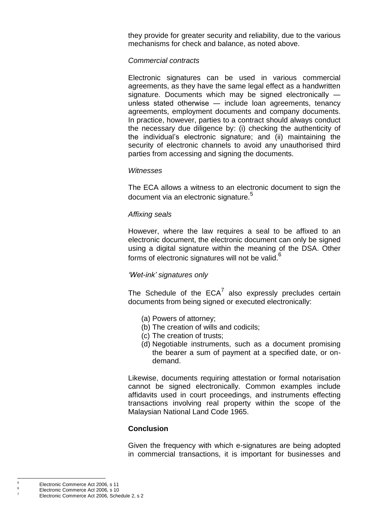they provide for greater security and reliability, due to the various mechanisms for check and balance, as noted above.

### *Commercial contracts*

Electronic signatures can be used in various commercial agreements, as they have the same legal effect as a handwritten signature. Documents which may be signed electronically unless stated otherwise ― include loan agreements, tenancy agreements, employment documents and company documents. In practice, however, parties to a contract should always conduct the necessary due diligence by: (i) checking the authenticity of the individual's electronic signature; and (ii) maintaining the security of electronic channels to avoid any unauthorised third parties from accessing and signing the documents.

#### *Witnesses*

The ECA allows a witness to an electronic document to sign the document via an electronic signature.<sup>5</sup>

### *Affixing seals*

However, where the law requires a seal to be affixed to an electronic document, the electronic document can only be signed using a digital signature within the meaning of the DSA. Other forms of electronic signatures will not be valid.<sup>6</sup>

## *'Wet-ink' signatures only*

The Schedule of the  $ECA^7$  also expressly precludes certain documents from being signed or executed electronically:

- (a) Powers of attorney;
- (b) The creation of wills and codicils;
- (c) The creation of trusts;
- (d) Negotiable instruments, such as a document promising the bearer a sum of payment at a specified date, or ondemand.

Likewise, documents requiring attestation or formal notarisation cannot be signed electronically. Common examples include affidavits used in court proceedings, and instruments effecting transactions involving real property within the scope of the Malaysian National Land Code 1965.

## **Conclusion**

Given the frequency with which e-signatures are being adopted in commercial transactions, it is important for businesses and

 $\overline{5}$ <sup>5</sup> Electronic Commerce Act 2006, s 11

 $\frac{6}{7}$  Electronic Commerce Act 2006, s 10

<sup>7</sup> Electronic Commerce Act 2006, Schedule 2, s 2